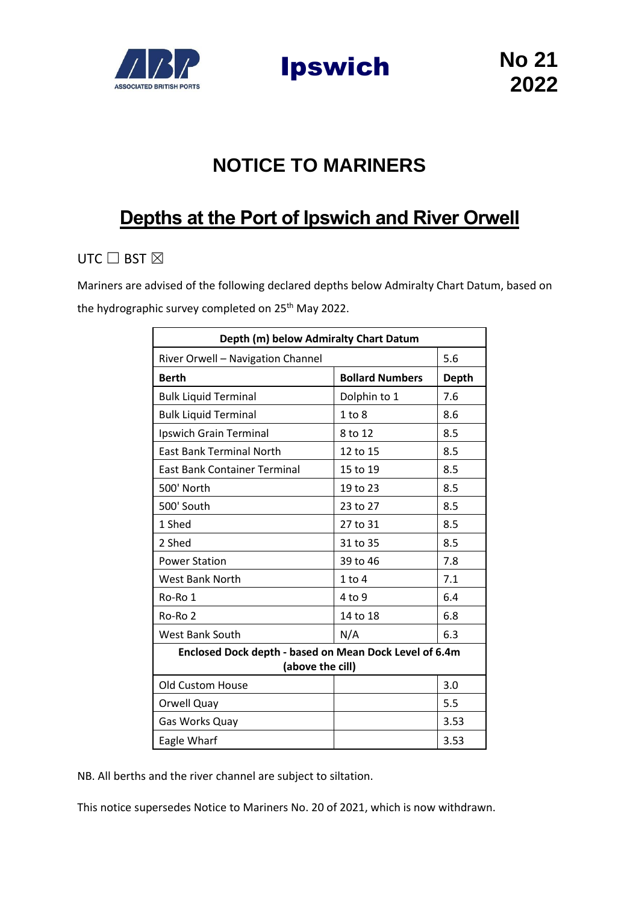

Ipswich **No 21**

## **NOTICE TO MARINERS**

## **Depths at the Port of Ipswich and River Orwell**

## UTC  $\Box$  BST  $\boxtimes$

Mariners are advised of the following declared depths below Admiralty Chart Datum, based on the hydrographic survey completed on 25<sup>th</sup> May 2022.

| Depth (m) below Admiralty Chart Datum                                      |                        |              |
|----------------------------------------------------------------------------|------------------------|--------------|
| River Orwell - Navigation Channel                                          |                        | 5.6          |
| <b>Berth</b>                                                               | <b>Bollard Numbers</b> | <b>Depth</b> |
| <b>Bulk Liquid Terminal</b>                                                | Dolphin to 1           | 7.6          |
| <b>Bulk Liquid Terminal</b>                                                | 1 to 8                 | 8.6          |
| Ipswich Grain Terminal                                                     | 8 to 12                | 8.5          |
| <b>East Bank Terminal North</b>                                            | 12 to 15               | 8.5          |
| <b>East Bank Container Terminal</b>                                        | 15 to 19               | 8.5          |
| 500' North                                                                 | 19 to 23               | 8.5          |
| 500' South                                                                 | 23 to 27               | 8.5          |
| 1 Shed                                                                     | 27 to 31               | 8.5          |
| 2 Shed                                                                     | 31 to 35               | 8.5          |
| <b>Power Station</b>                                                       | 39 to 46               | 7.8          |
| <b>West Bank North</b>                                                     | $1$ to $4$             | 7.1          |
| Ro-Ro 1                                                                    | 4 to 9                 | 6.4          |
| Ro-Ro 2                                                                    | 14 to 18               | 6.8          |
| <b>West Bank South</b>                                                     | N/A                    | 6.3          |
| Enclosed Dock depth - based on Mean Dock Level of 6.4m<br>(above the cill) |                        |              |
| <b>Old Custom House</b>                                                    |                        | 3.0          |
| Orwell Quay                                                                |                        | 5.5          |
| Gas Works Quay                                                             |                        | 3.53         |
| Eagle Wharf                                                                |                        | 3.53         |

NB. All berths and the river channel are subject to siltation.

This notice supersedes Notice to Mariners No. 20 of 2021, which is now withdrawn.